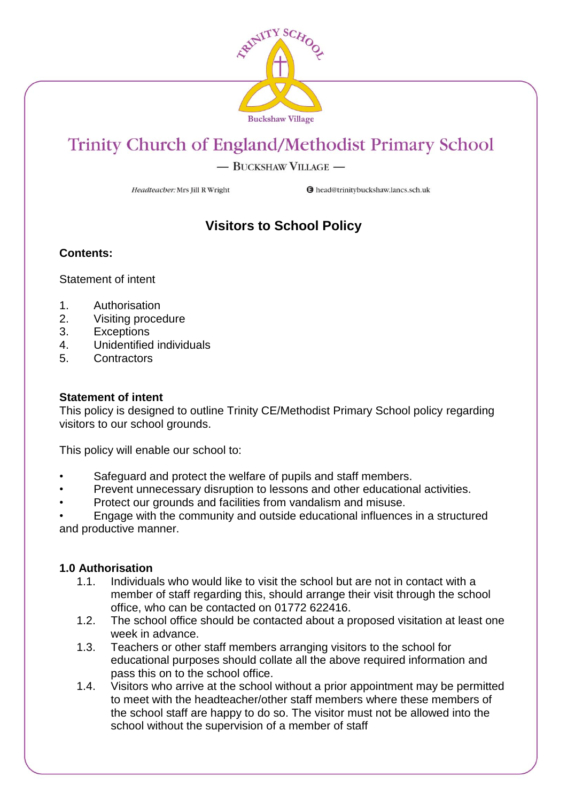

# Trinity Church of England/Methodist Primary School

- BUCKSHAW VILLAGE -

Headteacher: Mrs Jill R Wright

**O** head@trinitybuckshaw.lancs.sch.uk

# **Visitors to School Policy**

### **Contents:**

Statement of intent

- 1. Authorisation
- 2. Visiting procedure
- 3. Exceptions
- 4. Unidentified individuals
- 5. Contractors

#### **Statement of intent**

This policy is designed to outline Trinity CE/Methodist Primary School policy regarding visitors to our school grounds.

This policy will enable our school to:

- Safeguard and protect the welfare of pupils and staff members.
- Prevent unnecessary disruption to lessons and other educational activities.
- Protect our grounds and facilities from vandalism and misuse.

• Engage with the community and outside educational influences in a structured and productive manner.

#### **1.0 Authorisation**

- 1.1. Individuals who would like to visit the school but are not in contact with a member of staff regarding this, should arrange their visit through the school office, who can be contacted on 01772 622416.
- 1.2. The school office should be contacted about a proposed visitation at least one week in advance.
- 1.3. Teachers or other staff members arranging visitors to the school for educational purposes should collate all the above required information and pass this on to the school office.
- 1.4. Visitors who arrive at the school without a prior appointment may be permitted to meet with the headteacher/other staff members where these members of the school staff are happy to do so. The visitor must not be allowed into the school without the supervision of a member of staff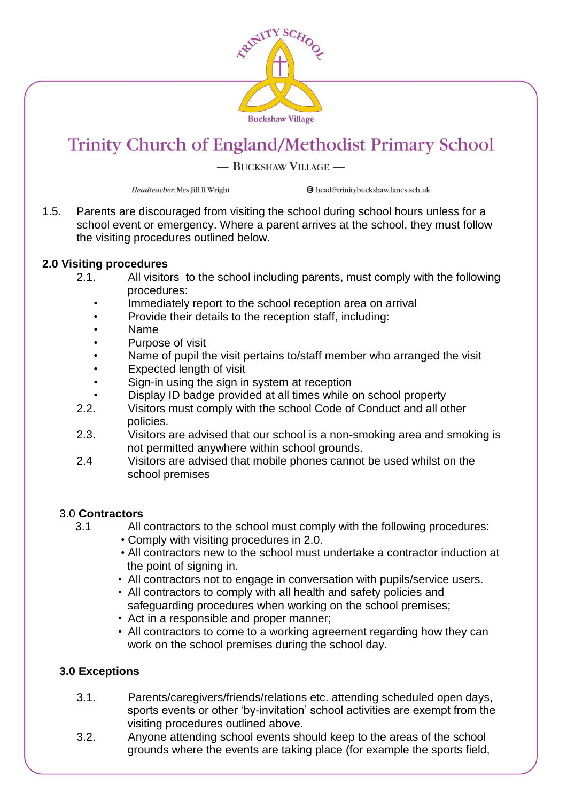

# Trinity Church of England/Methodist Primary School

## - BUCKSHAW VILLAGE -

Headteacher: Mrs Jill R Wright

**O** head@trinitybuckshaw.lancs.sch.uk

1.5. Parents are discouraged from visiting the school during school hours unless for a school event or emergency. Where a parent arrives at the school, they must follow the visiting procedures outlined below.

#### **2.0 Visiting procedures**

- 2.1. All visitors to the school including parents, must comply with the following procedures:
	- Immediately report to the school reception area on arrival
	- Provide their details to the reception staff, including:
	- Name
	- Purpose of visit
	- Name of pupil the visit pertains to/staff member who arranged the visit
	- Expected length of visit
	- Sign-in using the sign in system at reception
	- Display ID badge provided at all times while on school property
- 2.2. Visitors must comply with the school Code of Conduct and all other policies.
- 2.3. Visitors are advised that our school is a non-smoking area and smoking is not permitted anywhere within school grounds.
- 2.4 Visitors are advised that mobile phones cannot be used whilst on the school premises

### 3.0 **Contractors**

- 3.1 All contractors to the school must comply with the following procedures:
	- Comply with visiting procedures in 2.0.
	- All contractors new to the school must undertake a contractor induction at the point of signing in.
	- All contractors not to engage in conversation with pupils/service users.
	- All contractors to comply with all health and safety policies and safeguarding procedures when working on the school premises;
	- Act in a responsible and proper manner;
	- All contractors to come to a working agreement regarding how they can work on the school premises during the school day.

### **3.0 Exceptions**

- 3.1. Parents/caregivers/friends/relations etc. attending scheduled open days, sports events or other 'by-invitation' school activities are exempt from the visiting procedures outlined above.<br>3.2 Anyone attending school events she
- Anyone attending school events should keep to the areas of the school grounds where the events are taking place (for example the sports field,